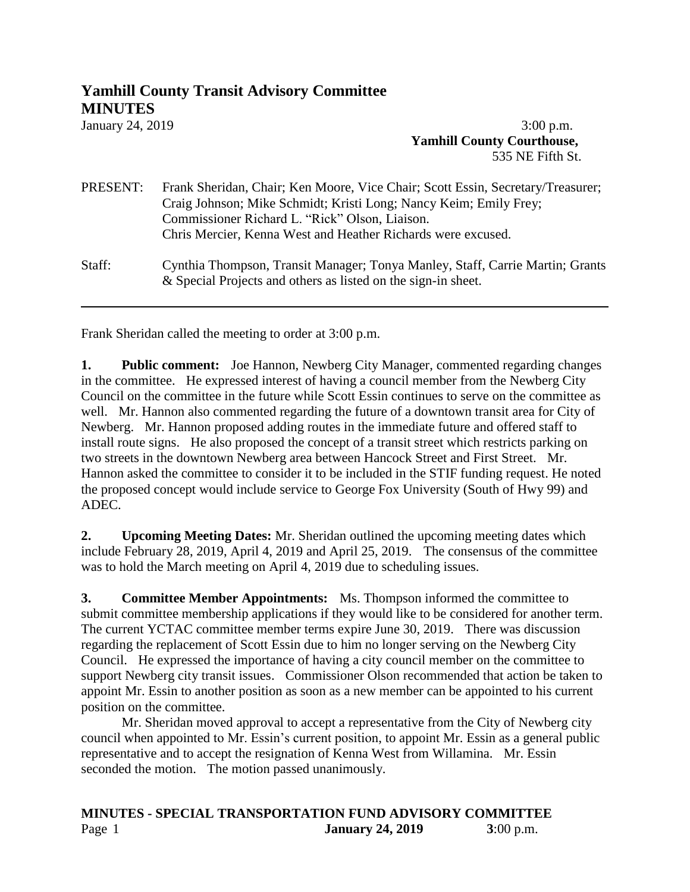## **Yamhill County Transit Advisory Committee MINUTES**

January 24, 20193:00 p.m. **Yamhill County Courthouse,** 535 NE Fifth St.

| PRESENT: | Frank Sheridan, Chair; Ken Moore, Vice Chair; Scott Essin, Secretary/Treasurer;<br>Craig Johnson; Mike Schmidt; Kristi Long; Nancy Keim; Emily Frey;<br>Commissioner Richard L. "Rick" Olson, Liaison.<br>Chris Mercier, Kenna West and Heather Richards were excused. |
|----------|------------------------------------------------------------------------------------------------------------------------------------------------------------------------------------------------------------------------------------------------------------------------|
| Staff:   | Cynthia Thompson, Transit Manager; Tonya Manley, Staff, Carrie Martin; Grants<br>& Special Projects and others as listed on the sign-in sheet.                                                                                                                         |

Frank Sheridan called the meeting to order at 3:00 p.m.

**1. Public comment:** Joe Hannon, Newberg City Manager, commented regarding changes in the committee. He expressed interest of having a council member from the Newberg City Council on the committee in the future while Scott Essin continues to serve on the committee as well. Mr. Hannon also commented regarding the future of a downtown transit area for City of Newberg. Mr. Hannon proposed adding routes in the immediate future and offered staff to install route signs. He also proposed the concept of a transit street which restricts parking on two streets in the downtown Newberg area between Hancock Street and First Street. Mr. Hannon asked the committee to consider it to be included in the STIF funding request. He noted the proposed concept would include service to George Fox University (South of Hwy 99) and ADEC.

**2. Upcoming Meeting Dates:** Mr. Sheridan outlined the upcoming meeting dates which include February 28, 2019, April 4, 2019 and April 25, 2019.The consensus of the committee was to hold the March meeting on April 4, 2019 due to scheduling issues.

**3. Committee Member Appointments:** Ms. Thompson informed the committee to submit committee membership applications if they would like to be considered for another term. The current YCTAC committee member terms expire June 30, 2019. There was discussion regarding the replacement of Scott Essin due to him no longer serving on the Newberg City Council. He expressed the importance of having a city council member on the committee to support Newberg city transit issues. Commissioner Olson recommended that action be taken to appoint Mr. Essin to another position as soon as a new member can be appointed to his current position on the committee.

Mr. Sheridan moved approval to accept a representative from the City of Newberg city council when appointed to Mr. Essin's current position, to appoint Mr. Essin as a general public representative and to accept the resignation of Kenna West from Willamina. Mr. Essin seconded the motion. The motion passed unanimously.

## **MINUTES - SPECIAL TRANSPORTATION FUND ADVISORY COMMITTEE** Page 1 **January 24, 2019 3**:00 p.m.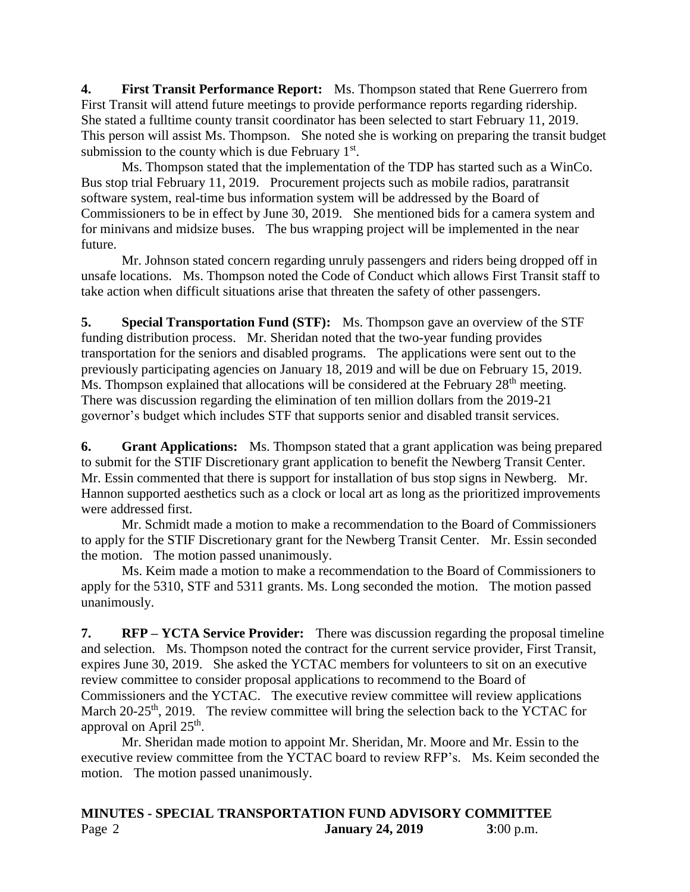**4. First Transit Performance Report:** Ms. Thompson stated that Rene Guerrero from First Transit will attend future meetings to provide performance reports regarding ridership. She stated a fulltime county transit coordinator has been selected to start February 11, 2019. This person will assist Ms. Thompson. She noted she is working on preparing the transit budget submission to the county which is due February  $1<sup>st</sup>$ .

Ms. Thompson stated that the implementation of the TDP has started such as a WinCo. Bus stop trial February 11, 2019. Procurement projects such as mobile radios, paratransit software system, real-time bus information system will be addressed by the Board of Commissioners to be in effect by June 30, 2019. She mentioned bids for a camera system and for minivans and midsize buses. The bus wrapping project will be implemented in the near future.

Mr. Johnson stated concern regarding unruly passengers and riders being dropped off in unsafe locations. Ms. Thompson noted the Code of Conduct which allows First Transit staff to take action when difficult situations arise that threaten the safety of other passengers.

**5. Special Transportation Fund (STF):** Ms. Thompson gave an overview of the STF funding distribution process. Mr. Sheridan noted that the two-year funding provides transportation for the seniors and disabled programs. The applications were sent out to the previously participating agencies on January 18, 2019 and will be due on February 15, 2019. Ms. Thompson explained that allocations will be considered at the February 28<sup>th</sup> meeting. There was discussion regarding the elimination of ten million dollars from the 2019-21 governor's budget which includes STF that supports senior and disabled transit services.

**6. Grant Applications:** Ms. Thompson stated that a grant application was being prepared to submit for the STIF Discretionary grant application to benefit the Newberg Transit Center. Mr. Essin commented that there is support for installation of bus stop signs in Newberg. Mr. Hannon supported aesthetics such as a clock or local art as long as the prioritized improvements were addressed first.

Mr. Schmidt made a motion to make a recommendation to the Board of Commissioners to apply for the STIF Discretionary grant for the Newberg Transit Center. Mr. Essin seconded the motion. The motion passed unanimously.

Ms. Keim made a motion to make a recommendation to the Board of Commissioners to apply for the 5310, STF and 5311 grants. Ms. Long seconded the motion. The motion passed unanimously.

**7. RFP – YCTA Service Provider:** There was discussion regarding the proposal timeline and selection. Ms. Thompson noted the contract for the current service provider, First Transit, expires June 30, 2019. She asked the YCTAC members for volunteers to sit on an executive review committee to consider proposal applications to recommend to the Board of Commissioners and the YCTAC. The executive review committee will review applications March  $20-25$ <sup>th</sup>, 2019. The review committee will bring the selection back to the YCTAC for approval on April 25<sup>th</sup>.

Mr. Sheridan made motion to appoint Mr. Sheridan, Mr. Moore and Mr. Essin to the executive review committee from the YCTAC board to review RFP's. Ms. Keim seconded the motion. The motion passed unanimously.

## **MINUTES - SPECIAL TRANSPORTATION FUND ADVISORY COMMITTEE** Page 2 **January 24, 2019 3**:00 p.m.